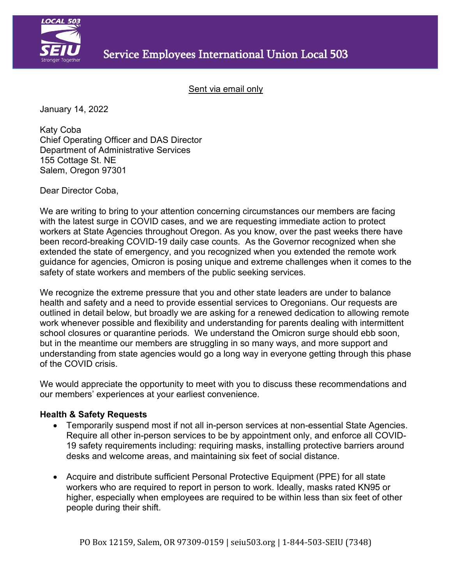

Sent via email only

January 14, 2022

Katy Coba Chief Operating Officer and DAS Director Department of Administrative Services 155 Cottage St. NE Salem, Oregon 97301

Dear Director Coba,

We are writing to bring to your attention concerning circumstances our members are facing with the latest surge in COVID cases, and we are requesting immediate action to protect workers at State Agencies throughout Oregon. As you know, over the past weeks there have been record-breaking COVID-19 daily case counts. As the Governor recognized when she extended the state of emergency, and you recognized when you extended the remote work guidance for agencies, Omicron is posing unique and extreme challenges when it comes to the safety of state workers and members of the public seeking services.

We recognize the extreme pressure that you and other state leaders are under to balance health and safety and a need to provide essential services to Oregonians. Our requests are outlined in detail below, but broadly we are asking for a renewed dedication to allowing remote work whenever possible and flexibility and understanding for parents dealing with intermittent school closures or quarantine periods. We understand the Omicron surge should ebb soon, but in the meantime our members are struggling in so many ways, and more support and understanding from state agencies would go a long way in everyone getting through this phase of the COVID crisis.

We would appreciate the opportunity to meet with you to discuss these recommendations and our members' experiences at your earliest convenience.

## **Health & Safety Requests**

- Temporarily suspend most if not all in-person services at non-essential State Agencies. Require all other in-person services to be by appointment only, and enforce all COVID-19 safety requirements including: requiring masks, installing protective barriers around desks and welcome areas, and maintaining six feet of social distance.
- Acquire and distribute sufficient Personal Protective Equipment (PPE) for all state workers who are required to report in person to work. Ideally, masks rated KN95 or higher, especially when employees are required to be within less than six feet of other people during their shift.